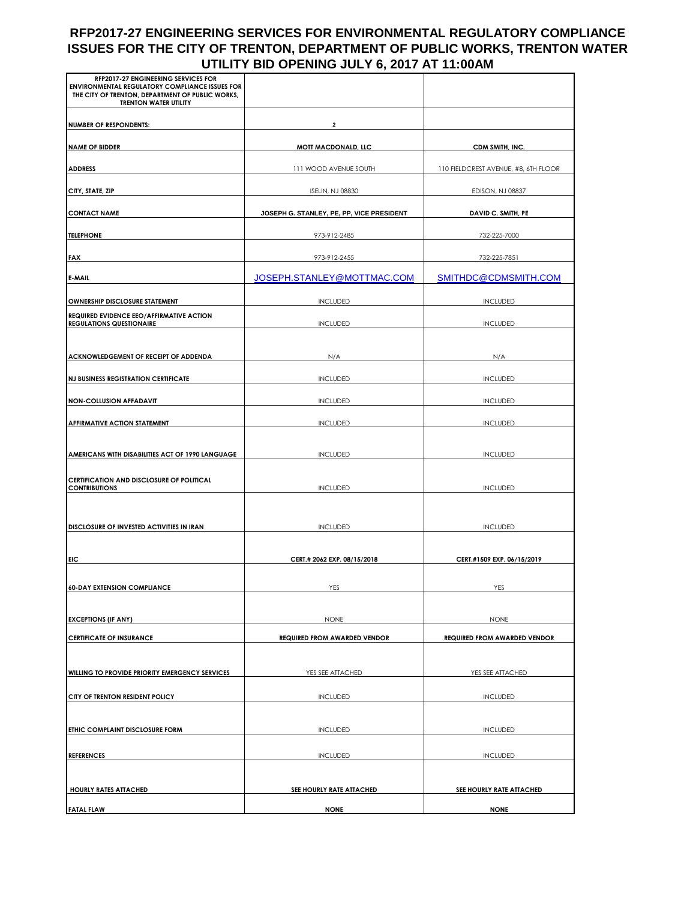## **RFP2017-27 ENGINEERING SERVICES FOR ENVIRONMENTAL REGULATORY COMPLIANCE ISSUES FOR THE CITY OF TRENTON, DEPARTMENT OF PUBLIC WORKS, TRENTON WATER UTILITY BID OPENING JULY 6, 2017 AT 11:00AM**

| RFP2017-27 ENGINEERING SERVICES FOR<br>ENVIRONMENTAL REGULATORY COMPLIANCE ISSUES FOR<br>THE CITY OF TRENTON, DEPARTMENT OF PUBLIC WORKS,<br><b>TRENTON WATER UTILITY</b> |                                           |                                      |
|---------------------------------------------------------------------------------------------------------------------------------------------------------------------------|-------------------------------------------|--------------------------------------|
| <b>NUMBER OF RESPONDENTS:</b>                                                                                                                                             | 2                                         |                                      |
| <b>NAME OF BIDDER</b>                                                                                                                                                     | MOTT MACDONALD, LLC                       | CDM SMITH, INC.                      |
| <b>ADDRESS</b>                                                                                                                                                            | 111 WOOD AVENUE SOUTH                     | 110 FIELDCREST AVENUE, #8, 6TH FLOOR |
| CITY, STATE, ZIP                                                                                                                                                          | <b>ISELIN, NJ 08830</b>                   | EDISON, NJ 08837                     |
| <b>CONTACT NAME</b>                                                                                                                                                       | JOSEPH G. STANLEY, PE, PP, VICE PRESIDENT | DAVID C. SMITH, PE                   |
| <b>TELEPHONE</b>                                                                                                                                                          | 973-912-2485                              | 732-225-7000                         |
| FAX                                                                                                                                                                       | 973-912-2455                              | 732-225-7851                         |
| E-MAIL                                                                                                                                                                    | JOSEPH.STANLEY@MOTTMAC.COM                | SMITHDC@CDMSMITH.COM                 |
| OWNERSHIP DISCLOSURE STATEMENT                                                                                                                                            | <b>INCLUDED</b>                           | <b>INCLUDED</b>                      |
| REQUIRED EVIDENCE EEO/AFFIRMATIVE ACTION                                                                                                                                  |                                           |                                      |
| <b>REGULATIONS QUESTIONAIRE</b>                                                                                                                                           | <b>INCLUDED</b>                           | <b>INCLUDED</b>                      |
| ACKNOWLEDGEMENT OF RECEIPT OF ADDENDA                                                                                                                                     | N/A                                       | N/A                                  |
| <b>NJ BUSINESS REGISTRATION CERTIFICATE</b>                                                                                                                               | <b>INCLUDED</b>                           | <b>INCLUDED</b>                      |
| <b>NON-COLLUSION AFFADAVIT</b>                                                                                                                                            | <b>INCLUDED</b>                           | <b>INCLUDED</b>                      |
| <b>AFFIRMATIVE ACTION STATEMENT</b>                                                                                                                                       | <b>INCLUDED</b>                           | <b>INCLUDED</b>                      |
|                                                                                                                                                                           |                                           |                                      |
| AMERICANS WITH DISABILITIES ACT OF 1990 LANGUAGE                                                                                                                          | <b>INCLUDED</b>                           | <b>INCLUDED</b>                      |
| <b>CERTIFICATION AND DISCLOSURE OF POLITICAL</b><br><b>CONTRIBUTIONS</b>                                                                                                  | <b>INCLUDED</b>                           | <b>INCLUDED</b>                      |
|                                                                                                                                                                           |                                           |                                      |
| DISCLOSURE OF INVESTED ACTIVITIES IN IRAN                                                                                                                                 | <b>INCLUDED</b>                           | <b>INCLUDED</b>                      |
|                                                                                                                                                                           |                                           |                                      |
| EIC                                                                                                                                                                       | CERT.# 2062 EXP. 08/15/2018               | CERT.#1509 EXP. 06/15/2019           |
| <b>60-DAY EXTENSION COMPLIANCE</b>                                                                                                                                        | YES                                       | YES                                  |
|                                                                                                                                                                           |                                           |                                      |
| <b>EXCEPTIONS (IF ANY)</b>                                                                                                                                                | <b>NONE</b>                               | <b>NONE</b>                          |
| <b>CERTIFICATE OF INSURANCE</b>                                                                                                                                           | <b>REQUIRED FROM AWARDED VENDOR</b>       | <b>REQUIRED FROM AWARDED VENDOR</b>  |
| WILLING TO PROVIDE PRIORITY EMERGENCY SERVICES                                                                                                                            | YES SEE ATTACHED                          | YES SEE ATTACHED                     |
| CITY OF TRENTON RESIDENT POLICY                                                                                                                                           | <b>INCLUDED</b>                           | <b>INCLUDED</b>                      |
|                                                                                                                                                                           |                                           |                                      |
| ETHIC COMPLAINT DISCLOSURE FORM                                                                                                                                           | <b>INCLUDED</b>                           | <b>INCLUDED</b>                      |
| <b>REFERENCES</b>                                                                                                                                                         | <b>INCLUDED</b>                           | <b>INCLUDED</b>                      |
|                                                                                                                                                                           |                                           |                                      |
| <b>HOURLY RATES ATTACHED</b>                                                                                                                                              | SEE HOURLY RATE ATTACHED                  | SEE HOURLY RATE ATTACHED             |
| <b>FATAL FLAW</b>                                                                                                                                                         | <b>NONE</b>                               | <b>NONE</b>                          |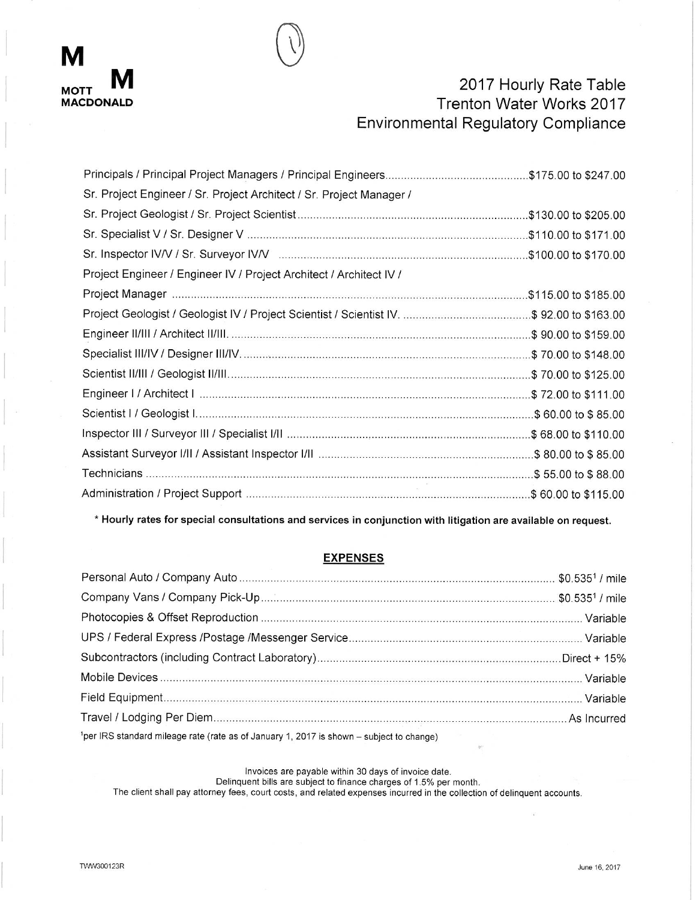

# 2017 Hourly Rate Table Trenton Water Works 2017 **Environmental Regulatory Compliance**

| Sr. Project Engineer / Sr. Project Architect / Sr. Project Manager / |  |
|----------------------------------------------------------------------|--|
|                                                                      |  |
|                                                                      |  |
|                                                                      |  |
| Project Engineer / Engineer IV / Project Architect / Architect IV /  |  |
|                                                                      |  |
|                                                                      |  |
|                                                                      |  |
|                                                                      |  |
|                                                                      |  |
|                                                                      |  |
|                                                                      |  |
|                                                                      |  |
|                                                                      |  |
|                                                                      |  |
|                                                                      |  |
|                                                                      |  |

\* Hourly rates for special consultations and services in conjunction with litigation are available on request.

### **EXPENSES**

| 1 per IRS standard mileage rate (rate as of January 1, 2017 is shown – subject to change) |  |
|-------------------------------------------------------------------------------------------|--|

Invoices are payable within 30 days of invoice date.

Delinquent bills are subject to finance charges of 1.5% per month.

The client shall pay attorney fees, court costs, and related expenses incurred in the collection of delinquent accounts.